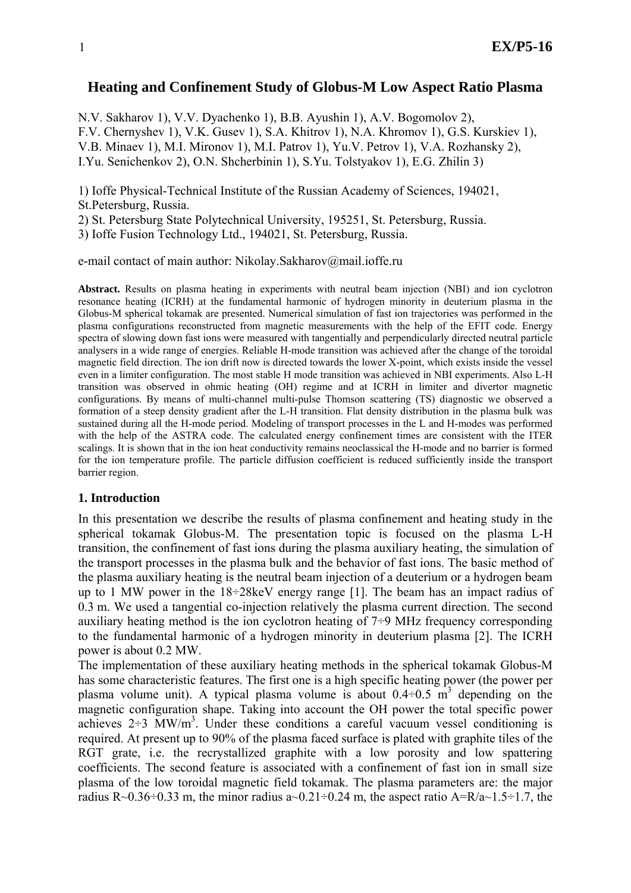## **Heating and Confinement Study of Globus-M Low Aspect Ratio Plasma**

N.V. Sakharov 1), V.V. Dyachenko 1), B.B. Ayushin 1), A.V. Bogomolov 2), F.V. Chernyshev 1), V.K. Gusev 1), S.A. Khitrov 1), N.A. Khromov 1), G.S. Kurskiev 1), V.B. Minaev 1), M.I. Mironov 1), M.I. Patrov 1), Yu.V. Petrov 1), V.A. Rozhansky 2), I.Yu. Senichenkov 2), O.N. Shcherbinin 1), S.Yu. Tolstyakov 1), E.G. Zhilin 3)

1) Ioffe Physical-Technical Institute of the Russian Academy of Sciences, 194021, St.Petersburg, Russia.

2) St. Petersburg State Polytechnical University, 195251, St. Petersburg, Russia.

3) Ioffe Fusion Technology Ltd., 194021, St. Petersburg, Russia.

e-mail contact of main author: Nikolay.Sakharov@mail.ioffe.ru

**Abstract.** Results on plasma heating in experiments with neutral beam injection (NBI) and ion cyclotron resonance heating (ICRH) at the fundamental harmonic of hydrogen minority in deuterium plasma in the Globus-M spherical tokamak are presented. Numerical simulation of fast ion trajectories was performed in the plasma configurations reconstructed from magnetic measurements with the help of the EFIT code. Energy spectra of slowing down fast ions were measured with tangentially and perpendicularly directed neutral particle analysers in a wide range of energies. Reliable H-mode transition was achieved after the change of the toroidal magnetic field direction. The ion drift now is directed towards the lower X-point, which exists inside the vessel even in a limiter configuration. The most stable H mode transition was achieved in NBI experiments. Also L-H transition was observed in ohmic heating (OH) regime and at ICRH in limiter and divertor magnetic configurations. By means of multi-channel multi-pulse Thomson scattering (TS) diagnostic we observed a formation of a steep density gradient after the L-H transition. Flat density distribution in the plasma bulk was sustained during all the H-mode period. Modeling of transport processes in the L and H-modes was performed with the help of the ASTRA code. The calculated energy confinement times are consistent with the ITER scalings. It is shown that in the ion heat conductivity remains neoclassical the H-mode and no barrier is formed for the ion temperature profile. The particle diffusion coefficient is reduced sufficiently inside the transport barrier region.

#### **1. Introduction**

In this presentation we describe the results of plasma confinement and heating study in the spherical tokamak Globus-M. The presentation topic is focused on the plasma L-H transition, the confinement of fast ions during the plasma auxiliary heating, the simulation of the transport processes in the plasma bulk and the behavior of fast ions. The basic method of the plasma auxiliary heating is the neutral beam injection of a deuterium or a hydrogen beam up to 1 MW power in the 18÷28keV energy range [1]. The beam has an impact radius of 0.3 m. We used a tangential co-injection relatively the plasma current direction. The second auxiliary heating method is the ion cyclotron heating of  $7\div 9$  MHz frequency corresponding to the fundamental harmonic of a hydrogen minority in deuterium plasma [2]. The ICRH power is about 0.2 MW.

The implementation of these auxiliary heating methods in the spherical tokamak Globus-M has some characteristic features. The first one is a high specific heating power (the power per plasma volume unit). A typical plasma volume is about  $0.4 \div 0.5$  m<sup>3</sup> depending on the magnetic configuration shape. Taking into account the OH power the total specific power achieves  $2\div 3$  MW/m<sup>3</sup>. Under these conditions a careful vacuum vessel conditioning is required. At present up to 90% of the plasma faced surface is plated with graphite tiles of the RGT grate, i.e. the recrystallized graphite with a low porosity and low spattering coefficients. The second feature is associated with a confinement of fast ion in small size plasma of the low toroidal magnetic field tokamak. The plasma parameters are: the major radius R $\sim$ 0.36 $\div$ 0.33 m, the minor radius a $\sim$ 0.21 $\div$ 0.24 m, the aspect ratio A=R/a $\sim$ 1.5 $\div$ 1.7, the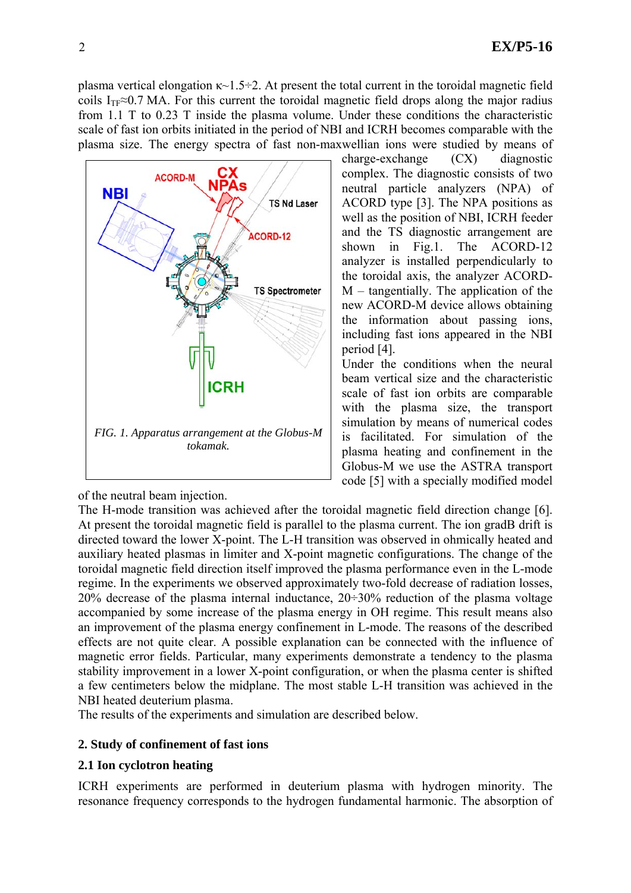charge-exchange (CX) diagnostic complex. The diagnostic consists of two neutral particle analyzers (NPA) of ACORD type [3]. The NPA positions as well as the position of NBI, ICRH feeder and the TS diagnostic arrangement are shown in Fig.1. The ACORD-12 analyzer is installed perpendicularly to the toroidal axis, the analyzer ACORD-M – tangentially. The application of the new ACORD-M device allows obtaining the information about passing ions, including fast ions appeared in the NBI

Under the conditions when the neural beam vertical size and the characteristic scale of fast ion orbits are comparable with the plasma size, the transport simulation by means of numerical codes is facilitated. For simulation of the

plasma vertical elongation  $\kappa$ ~1.5÷2. At present the total current in the toroidal magnetic field coils I<sub>TF</sub> $\approx$ 0.7 MA. For this current the toroidal magnetic field drops along the major radius from 1.1 T to 0.23 T inside the plasma volume. Under these conditions the characteristic scale of fast ion orbits initiated in the period of NBI and ICRH becomes comparable with the plasma size. The energy spectra of fast non-maxwellian ions were studied by means of



of the neutral beam injection.

plasma heating and confinement in the Globus-M we use the ASTRA transport code [5] with a specially modified model The H-mode transition was achieved after the toroidal magnetic field direction change [6]. At present the toroidal magnetic field is parallel to the plasma current. The ion gradB drift is directed toward the lower X-point. The L-H transition was observed in ohmically heated and auxiliary heated plasmas in limiter and X-point magnetic configurations. The change of the toroidal magnetic field direction itself improved the plasma performance even in the L-mode regime. In the experiments we observed approximately two-fold decrease of radiation losses, 20% decrease of the plasma internal inductance,  $20\div 30\%$  reduction of the plasma voltage accompanied by some increase of the plasma energy in OH regime. This result means also an improvement of the plasma energy confinement in L-mode. The reasons of the described effects are not quite clear. A possible explanation can be connected with the influence of magnetic error fields. Particular, many experiments demonstrate a tendency to the plasma stability improvement in a lower X-point configuration, or when the plasma center is shifted a few centimeters below the midplane. The most stable L-H transition was achieved in the NBI heated deuterium plasma.

period [4].

The results of the experiments and simulation are described below.

# **2. Study of confinement of fast ions**

# **2.1 Ion cyclotron heating**

ICRH experiments are performed in deuterium plasma with hydrogen minority. The resonance frequency corresponds to the hydrogen fundamental harmonic. The absorption of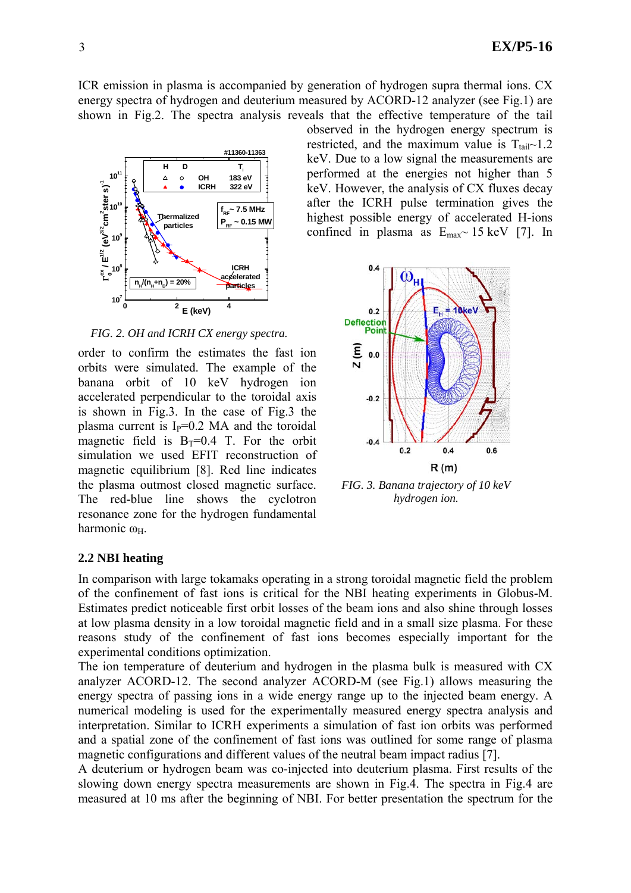ICR emission in plasma is accompanied by generation of hydrogen supra thermal ions. CX energy spectra of hydrogen and deuterium measured by ACORD-12 analyzer (see Fig.1) are shown in Fig.2. The spectra analysis reveals that the effective temperature of the tail



*FIG. 2. OH and ICRH CX energy spectra.*

order to confirm the estimates the fast ion orbits were simulated. The example of the banana orbit of 10 keV hydrogen ion accelerated perpendicular to the toroidal axis is shown in Fig.3. In the case of Fig.3 the plasma current is  $I<sub>P</sub>=0.2$  MA and the toroidal magnetic field is  $B_T=0.4$  T. For the orbit simulation we used EFIT reconstruction of magnetic equilibrium [8]. Red line indicates the plasma outmost closed magnetic surface. The red-blue line shows the cyclotron resonance zone for the hydrogen fundamental harmonic ω<sub>H</sub>.

observed in the hydrogen energy spectrum is restricted, and the maximum value is  $T_{tail}$  1.2 keV. Due to a low signal the measurements are performed at the energies not higher than 5 keV. However, the analysis of CX fluxes decay after the ICRH pulse termination gives the highest possible energy of accelerated H-ions confined in plasma as  $E_{\text{max}}$  15 keV [7]. In



*FIG. 3. Banana trajectory of 10 keV hydrogen ion.* 

### **2.2 NBI heating**

In comparison with large tokamaks operating in a strong toroidal magnetic field the problem of the confinement of fast ions is critical for the NBI heating experiments in Globus-M. Estimates predict noticeable first orbit losses of the beam ions and also shine through losses at low plasma density in a low toroidal magnetic field and in a small size plasma. For these reasons study of the confinement of fast ions becomes especially important for the experimental conditions optimization.

The ion temperature of deuterium and hydrogen in the plasma bulk is measured with CX analyzer ACORD-12. The second analyzer ACORD-M (see Fig.1) allows measuring the energy spectra of passing ions in a wide energy range up to the injected beam energy. A numerical modeling is used for the experimentally measured energy spectra analysis and interpretation. Similar to ICRH experiments a simulation of fast ion orbits was performed and a spatial zone of the confinement of fast ions was outlined for some range of plasma magnetic configurations and different values of the neutral beam impact radius [7].

A deuterium or hydrogen beam was co-injected into deuterium plasma. First results of the slowing down energy spectra measurements are shown in Fig.4. The spectra in Fig.4 are measured at 10 ms after the beginning of NBI. For better presentation the spectrum for the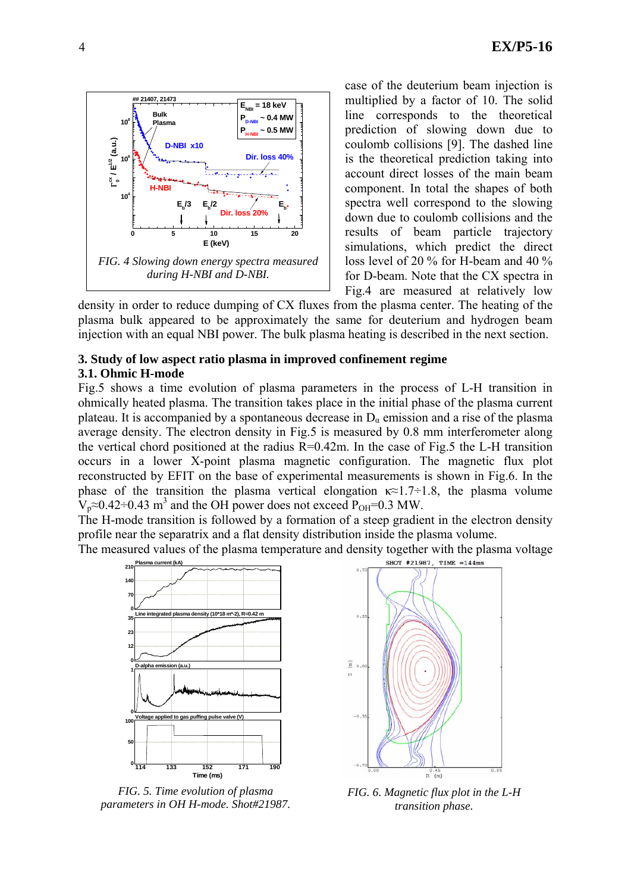

case of the deuterium beam injection is multiplied by a factor of 10. The solid line corresponds to the theoretical prediction of slowing down due to coulomb collisions [9]. The dashed line is the theoretical prediction taking into account direct losses of the main beam component. In total the shapes of both spectra well correspond to the slowing down due to coulomb collisions and the results of beam particle trajectory simulations, which predict the direct loss level of 20 % for H-beam and 40 % for D-beam. Note that the CX spectra in Fig.4 are measured at relatively low

density in order to reduce dumping of CX fluxes from the plasma center. The heating of the plasma bulk appeared to be approximately the same for deuterium and hydrogen beam injection with an equal NBI power. The bulk plasma heating is described in the next section.

### **3. Study of low aspect ratio plasma in improved confinement regime 3.1. Ohmic H-mode**

Fig.5 shows a time evolution of plasma parameters in the process of L-H transition in ohmically heated plasma. The transition takes place in the initial phase of the plasma current plateau. It is accompanied by a spontaneous decrease in  $D_{\alpha}$  emission and a rise of the plasma average density. The electron density in Fig.5 is measured by 0.8 mm interferometer along the vertical chord positioned at the radius  $R=0.42$ m. In the case of Fig.5 the L-H transition occurs in a lower X-point plasma magnetic configuration. The magnetic flux plot reconstructed by EFIT on the base of experimental measurements is shown in Fig.6. In the phase of the transition the plasma vertical elongation  $\kappa \approx 1.7 \div 1.8$ , the plasma volume  $V_p \approx 0.42 \div 0.43$  m<sup>3</sup> and the OH power does not exceed P<sub>OH</sub>=0.3 MW.

The H-mode transition is followed by a formation of a steep gradient in the electron density profile near the separatrix and a flat density distribution inside the plasma volume.

The measured values of the plasma temperature and density together with the plasma voltage 210 **Plasma** curre



*FIG. 5. Time evolution of plasma parameters in OH H-mode. Shot#21987.*



*FIG. 6. Magnetic flux plot in the L-H transition phase.*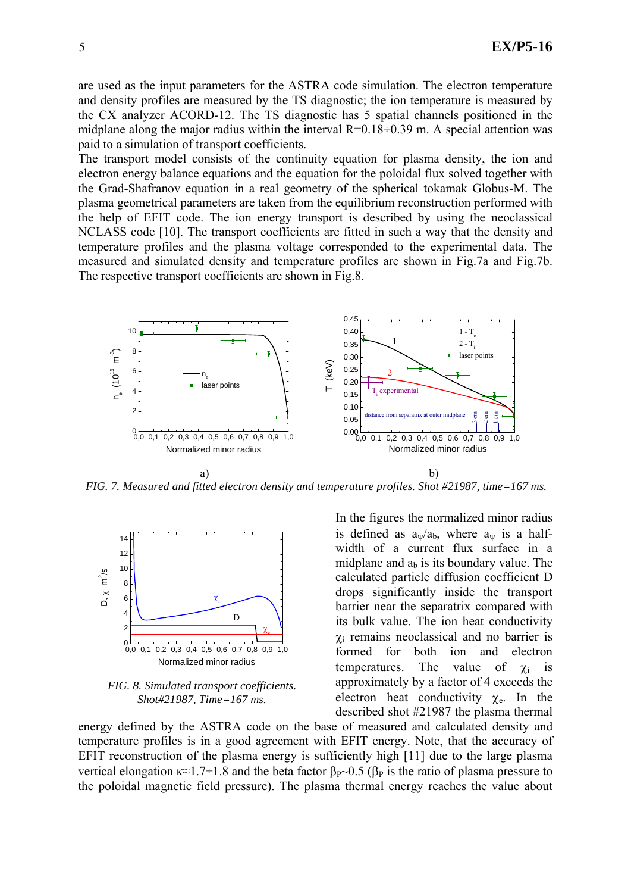are used as the input parameters for the ASTRA code simulation. The electron temperature and density profiles are measured by the TS diagnostic; the ion temperature is measured by the CX analyzer ACORD-12. The TS diagnostic has 5 spatial channels positioned in the midplane along the major radius within the interval  $R=0.18\div0.39$  m. A special attention was paid to a simulation of transport coefficients.

The transport model consists of the continuity equation for plasma density, the ion and electron energy balance equations and the equation for the poloidal flux solved together with the Grad-Shafranov equation in a real geometry of the spherical tokamak Globus-M. The plasma geometrical parameters are taken from the equilibrium reconstruction performed with the help of EFIT code. The ion energy transport is described by using the neoclassical NCLASS code [10]. The transport coefficients are fitted in such a way that the density and temperature profiles and the plasma voltage corresponded to the experimental data. The measured and simulated density and temperature profiles are shown in Fig.7a and Fig.7b. The respective transport coefficients are shown in Fig.8.



*FIG. 7. Measured and fitted electron density and temperature profiles. Shot #21987, time=167 ms.*



*FIG. 8. Simulated transport coefficients. Shot#21987, Time=167 ms.*

In the figures the normalized minor radius is defined as  $a_{\psi}/a_b$ , where  $a_{\psi}$  is a halfwidth of a current flux surface in a midplane and  $a<sub>b</sub>$  is its boundary value. The calculated particle diffusion coefficient D drops significantly inside the transport barrier near the separatrix compared with its bulk value. The ion heat conductivity  $\chi$ <sub>i</sub> remains neoclassical and no barrier is formed for both ion and electron temperatures. The value of  $\gamma_i$  is approximately by a factor of 4 exceeds the electron heat conductivity  $\chi_e$ . In the described shot #21987 the plasma thermal

energy defined by the ASTRA code on the base of measured and calculated density and temperature profiles is in a good agreement with EFIT energy. Note, that the accuracy of EFIT reconstruction of the plasma energy is sufficiently high [11] due to the large plasma vertical elongation  $\kappa \approx 1.7 \div 1.8$  and the beta factor  $\beta_P \sim 0.5$  ( $\beta_P$  is the ratio of plasma pressure to the poloidal magnetic field pressure). The plasma thermal energy reaches the value about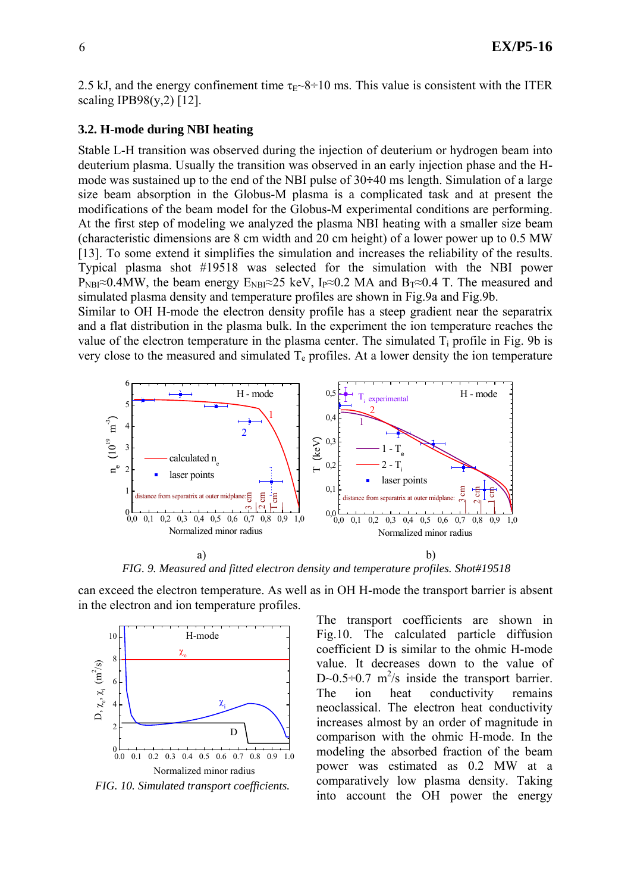2.5 kJ, and the energy confinement time  $\tau_{E}$  –8÷10 ms. This value is consistent with the ITER scaling IPB98(y,2) [12].

### **3.2. H-mode during NBI heating**

Stable L-H transition was observed during the injection of deuterium or hydrogen beam into deuterium plasma. Usually the transition was observed in an early injection phase and the Hmode was sustained up to the end of the NBI pulse of 30**÷**40 ms length. Simulation of a large size beam absorption in the Globus-M plasma is a complicated task and at present the modifications of the beam model for the Globus-M experimental conditions are performing. At the first step of modeling we analyzed the plasma NBI heating with a smaller size beam (characteristic dimensions are 8 cm width and 20 cm height) of a lower power up to 0.5 MW [13]. To some extend it simplifies the simulation and increases the reliability of the results. Typical plasma shot #19518 was selected for the simulation with the NBI power P<sub>NBI</sub>≈0.4MW, the beam energy  $E_{NBI} \approx 25$  keV, I<sub>P</sub>≈0.2 MA and B<sub>T</sub>≈0.4 T. The measured and simulated plasma density and temperature profiles are shown in Fig.9a and Fig.9b.

Similar to OH H-mode the electron density profile has a steep gradient near the separatrix and a flat distribution in the plasma bulk. In the experiment the ion temperature reaches the value of the electron temperature in the plasma center. The simulated  $T_i$  profile in Fig. 9b is very close to the measured and simulated  $T<sub>e</sub>$  profiles. At a lower density the ion temperature



*FIG. 9. Measured and fitted electron density and temperature profiles. Shot#19518* 

can exceed the electron temperature. As well as in OH H-mode the transport barrier is absent in the electron and ion temperature profiles.



*FIG. 10. Simulated transport coefficients.* 

The transport coefficients are shown in Fig.10. The calculated particle diffusion coefficient D is similar to the ohmic H-mode value. It decreases down to the value of D~0.5÷0.7 m<sup>2</sup>/s inside the transport barrier. The ion heat conductivity remains neoclassical. The electron heat conductivity increases almost by an order of magnitude in comparison with the ohmic H-mode. In the modeling the absorbed fraction of the beam power was estimated as 0.2 MW at a comparatively low plasma density. Taking into account the OH power the energy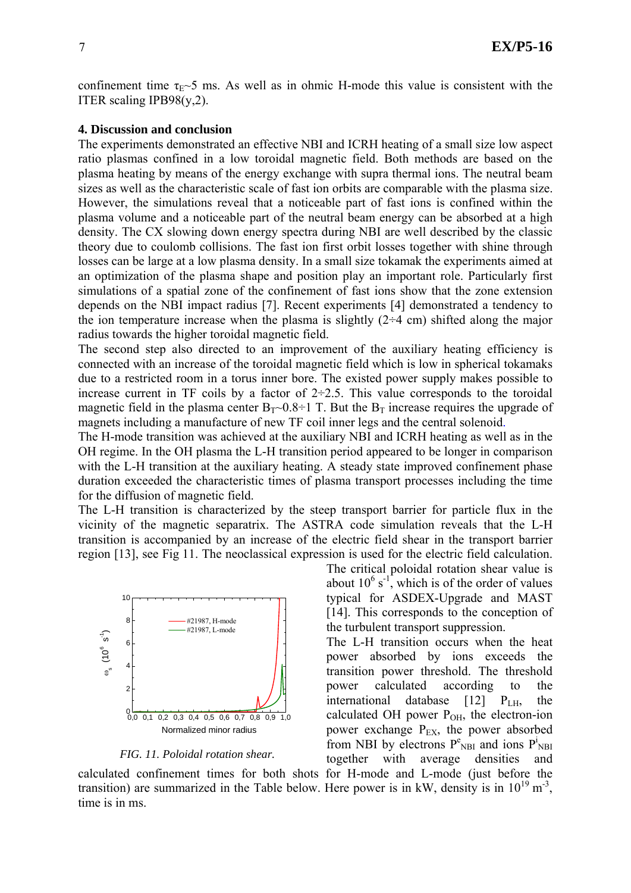confinement time  $\tau_{E}$  ms. As well as in ohmic H-mode this value is consistent with the ITER scaling IPB98(y,2).

#### **4. Discussion and conclusion**

The experiments demonstrated an effective NBI and ICRH heating of a small size low aspect ratio plasmas confined in a low toroidal magnetic field. Both methods are based on the plasma heating by means of the energy exchange with supra thermal ions. The neutral beam sizes as well as the characteristic scale of fast ion orbits are comparable with the plasma size. However, the simulations reveal that a noticeable part of fast ions is confined within the plasma volume and a noticeable part of the neutral beam energy can be absorbed at a high density. The CX slowing down energy spectra during NBI are well described by the classic theory due to coulomb collisions. The fast ion first orbit losses together with shine through losses can be large at a low plasma density. In a small size tokamak the experiments aimed at an optimization of the plasma shape and position play an important role. Particularly first simulations of a spatial zone of the confinement of fast ions show that the zone extension depends on the NBI impact radius [7]. Recent experiments [4] demonstrated a tendency to the ion temperature increase when the plasma is slightly  $(2-4 \text{ cm})$  shifted along the major radius towards the higher toroidal magnetic field.

The second step also directed to an improvement of the auxiliary heating efficiency is connected with an increase of the toroidal magnetic field which is low in spherical tokamaks due to a restricted room in a torus inner bore. The existed power supply makes possible to increase current in TF coils by a factor of  $2\div 2.5$ . This value corresponds to the toroidal magnetic field in the plasma center  $B_T \sim 0.8 \div 1$  T. But the  $B_T$  increase requires the upgrade of magnets including a manufacture of new TF coil inner legs and the central solenoid.

The H-mode transition was achieved at the auxiliary NBI and ICRH heating as well as in the OH regime. In the OH plasma the L-H transition period appeared to be longer in comparison with the L-H transition at the auxiliary heating. A steady state improved confinement phase duration exceeded the characteristic times of plasma transport processes including the time for the diffusion of magnetic field.

The L-H transition is characterized by the steep transport barrier for particle flux in the vicinity of the magnetic separatrix. The ASTRA code simulation reveals that the L-H transition is accompanied by an increase of the electric field shear in the transport barrier region [13], see Fig 11. The neoclassical expression is used for the electric field calculation.



*FIG. 11. Poloidal rotation shear.* 

The critical poloidal rotation shear value is about  $10^6$  s<sup>-1</sup>, which is of the order of values typical for ASDEX-Upgrade and MAST [14]. This corresponds to the conception of the turbulent transport suppression.

The L-H transition occurs when the heat power absorbed by ions exceeds the transition power threshold. The threshold power calculated according to the international database [12] PLH, the calculated OH power  $P_{OH}$ , the electron-ion power exchange  $P_{EX}$ , the power absorbed from NBI by electrons  $P_{NBI}^e$  and ions  $P_{NBI}^i$ together with average densities and

calculated confinement times for both shots for H-mode and L-mode (just before the transition) are summarized in the Table below. Here power is in kW, density is in  $10^{19}$  m<sup>-3</sup>, time is in ms.